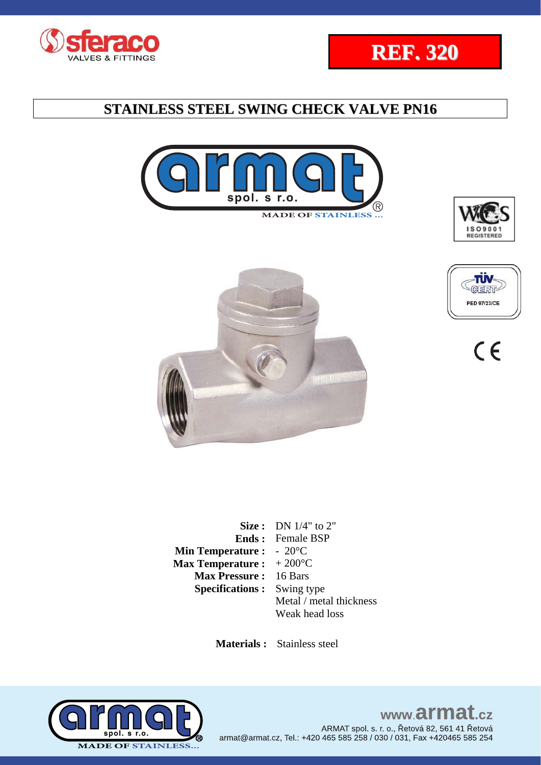













|                                           | <b>Size:</b> DN $1/4$ " to 2" |
|-------------------------------------------|-------------------------------|
|                                           | <b>Ends:</b> Female BSP       |
| <b>Min Temperature :</b> $-20^{\circ}$ C  |                               |
| <b>Max Temperature :</b> $+200^{\circ}$ C |                               |
| <b>Max Pressure: 16 Bars</b>              |                               |
| <b>Specifications:</b> Swing type         |                               |
|                                           | Metal / metal thickness       |
|                                           | Weak head loss                |

 **Materials :** Stainless steel



### www.armat.cz ARMAT spol. s. r. o., Řetová 82, 561 41 Řetová armat@armat.cz, Tel.: +420 465 585 258 / 030 / 031, Fax +420465 585 254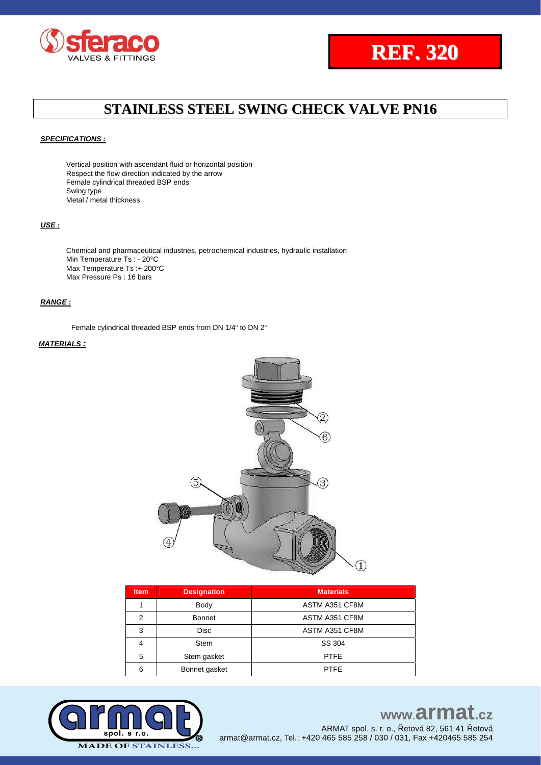



#### *SPECIFICATIONS :*

Vertical position with ascendant fluid or horizontal position Respect the flow direction indicated by the arrow Female cylindrical threaded BSP ends Swing type Metal / metal thickness

#### *USE :*

Chemical and pharmaceutical industries, petrochemical industries, hydraulic installation Min Temperature Ts : - 20°C Max Temperature Ts :+ 200°C Max Pressure Ps : 16 bars

#### *RANGE :*

Female cylindrical threaded BSP ends from DN 1/4" to DN 2"

#### *MATERIALS :*



| <b>Item</b> | <b>Designation</b><br><b>Materials</b> |                |  |  |  |  |
|-------------|----------------------------------------|----------------|--|--|--|--|
|             | Body                                   | ASTM A351 CF8M |  |  |  |  |
| 2           | <b>Bonnet</b>                          | ASTM A351 CF8M |  |  |  |  |
| 3           | <b>Disc</b>                            | ASTM A351 CF8M |  |  |  |  |
| 4           | <b>Stem</b>                            | SS 304         |  |  |  |  |
| 5           | Stem gasket                            | <b>PTFE</b>    |  |  |  |  |
| 6           | Bonnet gasket                          | <b>PTFE</b>    |  |  |  |  |



## www.armat.cz ARMAT spol. s. r. o., Řetová 82, 561 41 Řetová

armat@armat.cz, Tel.: +420 465 585 258 / 030 / 031, Fax +420465 585 254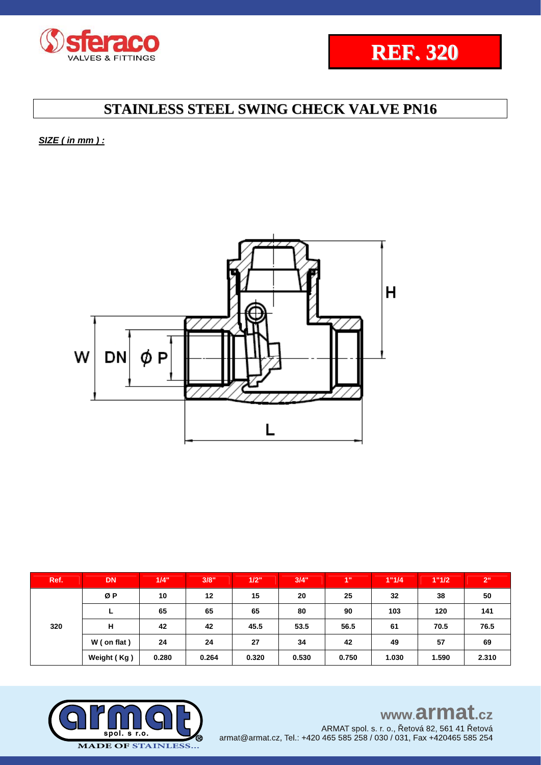



*SIZE ( in mm ) :* 



| Ref. | <b>DN</b>   | 1/4"  | 3/8"  | 1/2"  | 3/4"  | 1"    | 1"1/4 | 1"1/2 | 2 <sup>ii</sup> |
|------|-------------|-------|-------|-------|-------|-------|-------|-------|-----------------|
| 320  | ØΡ          | 10    | 12    | 15    | 20    | 25    | 32    | 38    | 50              |
|      | ►           | 65    | 65    | 65    | 80    | 90    | 103   | 120   | 141             |
|      | н           | 42    | 42    | 45.5  | 53.5  | 56.5  | 61    | 70.5  | 76.5            |
|      | W (on flat) | 24    | 24    | 27    | 34    | 42    | 49    | 57    | 69              |
|      | Weight (Kg) | 0.280 | 0.264 | 0.320 | 0.530 | 0.750 | 1.030 | 1.590 | 2.310           |



www.armat.cz ARMAT spol. s. r. o., Řetová 82, 561 41 Řetová armat@armat.cz, Tel.: +420 465 585 258 / 030 / 031, Fax +420465 585 254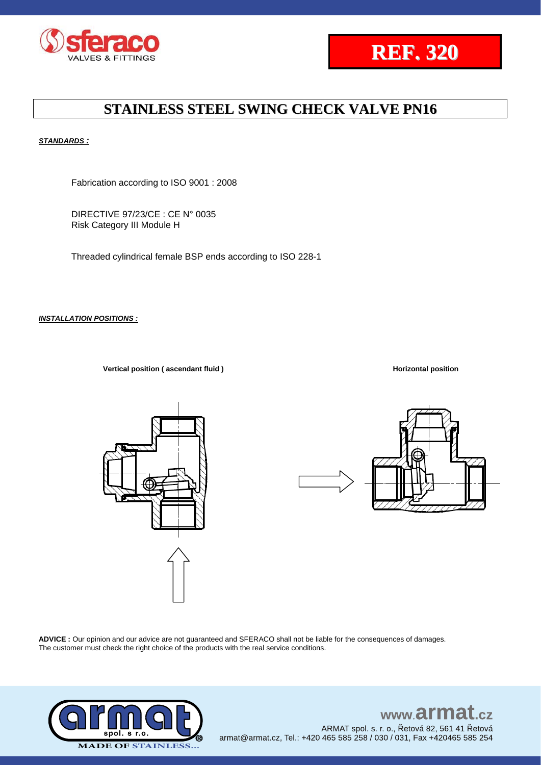



#### *STANDARDS :*

Fabrication according to ISO 9001 : 2008

DIRECTIVE 97/23/CE : CE N° 0035 Risk Category III Module H

Threaded cylindrical female BSP ends according to ISO 228-1

*INSTALLATION POSITIONS :*

**Vertical position (** ascendant fluid ) **Horizontal position Horizontal position** 





**ADVICE :** Our opinion and our advice are not guaranteed and SFERACO shall not be liable for the consequences of damages. The customer must check the right choice of the products with the real service conditions.



## www.armat.cz ARMAT spol. s. r. o., Řetová 82, 561 41 Řetová

armat@armat.cz, Tel.: +420 465 585 258 / 030 / 031, Fax +420465 585 254